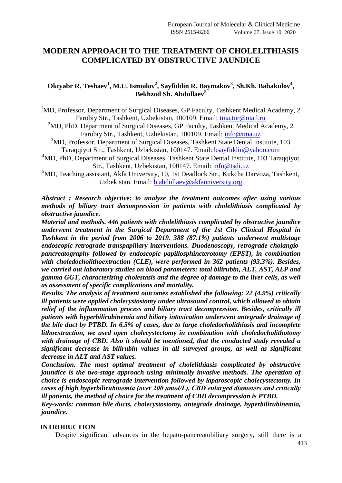# **MODERN APPROACH TO THE TREATMENT OF CHOLELITHIASIS COMPLICATED BY OBSTRUCTIVE JAUNDICE**

## **Oktyabr R. Teshaev<sup>1</sup> , M.U. Ismoilov<sup>2</sup> , Sayfiddin R. Baymakov<sup>3</sup> , Sh.Kh. Babakulov<sup>4</sup> , Bekhzod Sh. Abdullaev<sup>5</sup>**

 $1<sup>1</sup>MD$ , Professor, Department of Surgical Diseases, GP Faculty, Tashkent Medical Academy, 2 Farobiy Str., Tashkent, Uzbekistan, 100109. Email: [tma.tor@mail.ru](mailto:tma.tor@mail.ru)

 $2^2$ MD, PhD, Department of Surgical Diseases, GP Faculty, Tashkent Medical Academy, 2 Farobiy Str., Tashkent, Uzbekistan, 100109. Email: [info@tma.uz](mailto:info@tma.uz)

<sup>3</sup>MD, Professor, Department of Surgical Diseases, Tashkent State Dental Institute, 103 Taraqqiyot Str., Tashkent, Uzbekistan, 100147. Email: [bsayfiddin@yahoo.com](mailto:bsayfiddin@yahoo.com)

<sup>4</sup>MD, PhD, Department of Surgical Diseases, Tashkent State Dental Institute, 103 Taraqqiyot Str., Tashkent, Uzbekistan, 100147. Email: [info@tsdi.uz](mailto:info@tsdi.uz)

<sup>5</sup>MD, Teaching assistant, Akfa University, 10, 1st Deadlock Str., Kukcha Darvoza, Tashkent, Uzbekistan. Email: [b.abdullaev@akfauniversity.org](mailto:b.abdullaev@akfauniversity.org)

*Abstract : Research objective: to analyze the treatment outcomes after using various methods of biliary tract decompression in patients with cholelithiasis complicated by obstructive jaundice.*

*Material and methods. 446 patients with cholelithiasis complicated by obstructive jaundice underwent treatment in the Surgical Department of the 1st City Clinical Hospital in Tashkent in the period from 2006 to 2019. 388 (87.1%) patients underwent multistage endoscopic retrograde transpapillary interventions. Duodenoscopy, retrograde cholangiopancreatography followed by endoscopic papillosphincterotomy (EPST), in combination with choledocholithoextraction (CLE), were performed in 362 patients (93.3%). Besides, we carried out laboratory studies on blood parameters: total bilirubin, ALT, AST, ALP and gamma GGT, characterizing cholestasis and the degree of damage to the liver cells, as well as assessment of specific complications and mortality.*

*Results. The analysis of treatment outcomes established the following: 22 (4.9%) critically ill patients were applied cholecystostomy under ultrasound control, which allowed to obtain relief of the inflammation process and biliary tract decompression. Besides, critically ill patients with hyperbilirubinemia and biliary intoxication underwent antegrade drainage of the bile duct by PTBD. In 6.5% of cases, due to large choledocholithiasis and incomplete lithoextraction, we used open cholecystectomy in combination with choledocholithotomy with drainage of CBD. Also it should be mentioned, that the conducted study revealed a significant decrease in bilirubin values in all surveyed groups, as well as significant decrease in ALT and AST values.*

*Conclusion. The most optimal treatment of cholelithiasis complicated by obstructive jaundice is the two-stage approach using minimally invasive methods. The operation of choice is endoscopic retrograde intervention followed by laparoscopic cholecystectomy. In cases of high hyperbilirubinemia (over 200 μmol/L), CBD enlarged diameters and critically ill patients, the method of choice for the treatment of CBD decompression is PTBD.*

*Key-words: common bile ducts, cholecystostomy, antegrade drainage, hyperbilirubinemia, jaundice.*

## **INTRODUCTION**

Despite significant advances in the hepato-pancreatobiliary surgery, still there is a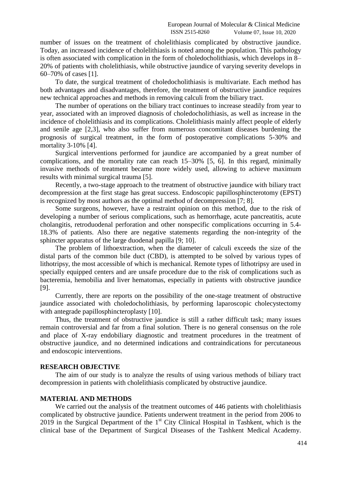number of issues on the treatment of cholelithiasis complicated by obstructive jaundice. Today, an increased incidence of cholelithiasis is noted among the population. This pathology is often associated with complication in the form of choledocholithiasis, which develops in 8– 20% of patients with cholelithiasis, while obstructive jaundice of varying severity develops in 60–70% of cases [1].

To date, the surgical treatment of choledocholithiasis is multivariate. Each method has both advantages and disadvantages, therefore, the treatment of obstructive jaundice requires new technical approaches and methods in removing calculi from the biliary tract.

The number of operations on the biliary tract continues to increase steadily from year to year, associated with an improved diagnosis of choledocholithiasis, as well as increase in the incidence of cholelithiasis and its complications. Cholelithiasis mainly affect people of elderly and senile age [2,3], who also suffer from numerous concomitant diseases burdening the prognosis of surgical treatment, in the form of postoperative complications 5-30% and mortality 3-10% [4].

Surgical interventions performed for jaundice are accompanied by a great number of complications, and the mortality rate can reach 15–30% [5, 6]. In this regard, minimally invasive methods of treatment became more widely used, allowing to achieve maximum results with minimal surgical trauma [5].

Recently, a two-stage approach to the treatment of obstructive jaundice with biliary tract decompression at the first stage has great success. Endoscopic papillosphincterotomy (EPST) is recognized by most authors as the optimal method of decompression [7; 8].

Some surgeons, however, have a restraint opinion on this method, due to the risk of developing a number of serious complications, such as hemorrhage, acute pancreatitis, acute cholangitis, retroduodenal perforation and other nonspecific complications occurring in 5.4- 18.3% of patients. Also there are negative statements regarding the non-integrity of the sphincter apparatus of the large duodenal papilla [9; 10].

The problem of lithoextraction, when the diameter of calculi exceeds the size of the distal parts of the common bile duct (CBD), is attempted to be solved by various types of lithotripsy, the most accessible of which is mechanical. Remote types of lithotripsy are used in specially equipped centers and are unsafe procedure due to the risk of complications such as bacteremia, hemobilia and liver hematomas, especially in patients with obstructive jaundice [9].

Currently, there are reports on the possibility of the one-stage treatment of obstructive jaundice associated with choledocholithiasis, by performing laparoscopic cholecystectomy with antegrade papillosphincteroplasty [10].

Thus, the treatment of obstructive jaundice is still a rather difficult task; many issues remain controversial and far from a final solution. There is no general consensus on the role and place of X-ray endobiliary diagnostic and treatment procedures in the treatment of obstructive jaundice, and no determined indications and contraindications for percutaneous and endoscopic interventions.

#### **RESEARCH OBJECTIVE**

The aim of our study is to analyze the results of using various methods of biliary tract decompression in patients with cholelithiasis complicated by obstructive jaundice.

#### **MATERIAL AND METHODS**

We carried out the analysis of the treatment outcomes of 446 patients with cholelithiasis complicated by obstructive jaundice. Patients underwent treatment in the period from 2006 to  $2019$  in the Surgical Department of the  $1<sup>st</sup>$  City Clinical Hospital in Tashkent, which is the clinical base of the Department of Surgical Diseases of the Tashkent Medical Academy.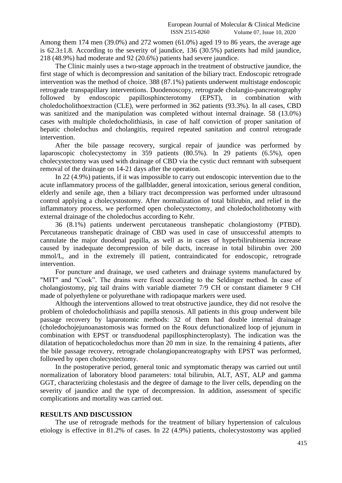Among them 174 men (39.0%) and 272 women (61.0%) aged 19 to 86 years, the average age is 62.3±1.8. According to the severity of jaundice, 136 (30.5%) patients had mild jaundice, 218 (48.9%) had moderate and 92 (20.6%) patients had severe jaundice.

The Clinic mainly uses a two-stage approach in the treatment of obstructive jaundice, the first stage of which is decompression and sanitation of the biliary tract. Endoscopic retrograde intervention was the method of choice. 388 (87.1%) patients underwent multistage endoscopic retrograde transpapillary interventions. Duodenoscopy, retrograde cholangio-pancreatography<br>followed by endoscopic papillosphincterotomy (EPST), in combination with followed by endoscopic papillosphincterotomy (EPST), in combination with choledocholithoextraction (CLE), were performed in 362 patients (93.3%). In all cases, CBD was sanitized and the manipulation was completed without internal drainage. 58 (13.0%) cases with multiple choledocholithiasis, in case of half conviction of proper sanitation of hepatic choledochus and cholangitis, required repeated sanitation and control retrograde intervention.

After the bile passage recovery, surgical repair of jaundice was performed by laparoscopic cholecystectomy in 359 patients (80.5%). In 29 patients (6.5%), open cholecystectomy was used with drainage of CBD via the cystic duct remnant with subsequent removal of the drainage on 14-21 days after the operation.

In 22 (4.9%) patients, if it was impossible to carry out endoscopic intervention due to the acute inflammatory process of the gallbladder, general intoxication, serious general condition, elderly and senile age, then a biliary tract decompression was performed under ultrasound control applying a cholecystostomy. After normalization of total bilirubin, and relief in the inflammatory process, we performed open cholecystectomy, and choledocholithotomy with external drainage of the choledochus according to Kehr.

36 (8.1%) patients underwent percutaneous transhepatic cholangiostomy (PTBD). Percutaneous transhepatic drainage of CBD was used in case of unsuccessful attempts to cannulate the major duodenal papilla, as well as in cases of hyperbilirubinemia increase caused by inadequate decompression of bile ducts, increase in total bilirubin over 200 mmol/L, and in the extremely ill patient, contraindicated for endoscopic, retrograde intervention.

For puncture and drainage, we used catheters and drainage systems manufactured by "MIT" and "Cook". The drains were fixed according to the Seldinger method. In case of cholangiostomy, pig tail drains with variable diameter 7/9 CH or constant diameter 9 CH made of polyethylene or polyurethane with radiopaque markers were used.

Although the interventions allowed to treat obstructive jaundice, they did not resolve the problem of choledocholithiasis and papilla stenosis. All patients in this group underwent bile passage recovery by laparotomic methods: 32 of them had double internal drainage (choledochojejunoanastomosis was formed on the Roux defunctionalized loop of jejunum in combination with EPST or transduodenal papillosphincteroplasty). The indication was the dilatation of hepaticocholedochus more than 20 mm in size. In the remaining 4 patients, after the bile passage recovery, retrograde cholangiopancreatography with EPST was performed, followed by open cholecystectomy.

In the postoperative period, general tonic and symptomatic therapy was carried out until normalization of laboratory blood parameters: total bilirubin, ALT, AST, ALP and gamma GGT, characterizing cholestasis and the degree of damage to the liver cells, depending on the severity of jaundice and the type of decompression. In addition, assessment of specific complications and mortality was carried out.

#### **RESULTS AND DISCUSSION**

The use of retrograde methods for the treatment of biliary hypertension of calculous etiology is effective in 81.2% of cases. In 22 (4.9%) patients, cholecystostomy was applied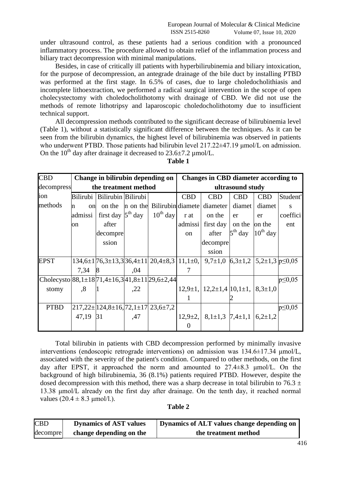under ultrasound control, as these patients had a serious condition with a pronounced inflammatory process. The procedure allowed to obtain relief of the inflammation process and biliary tract decompression with minimal manipulations.

Besides, in case of critically ill patients with hyperbilirubinemia and biliary intoxication, for the purpose of decompression, an antegrade drainage of the bile duct by installing PTBD was performed at the first stage. In 6.5% of cases, due to large choledocholithiasis and incomplete lithoextraction, we performed a radical surgical intervention in the scope of open cholecystectomy with choledocholithotomy with drainage of CBD. We did not use the methods of remote lithotripsy and laparoscopic choledocholithotomy due to insufficient technical support.

All decompression methods contributed to the significant decrease of bilirubinemia level (Table 1), without a statistically significant difference between the techniques. As it can be seen from the bilirubin dynamics, the highest level of bilirubinemia was observed in patients who underwent PTBD. Those patients had bilirubin level 217.22±47.19 μmol/L on admission. On the 10<sup>th</sup> day after drainage it decreased to 23.6 $\pm$ 7.2 µmol/L.

| <b>CBD</b>                                           |                      | Change in bilirubin depending on                     |     |               | <b>Changes in CBD diameter according to</b> |                                                                                                                 |            |               |              |  |
|------------------------------------------------------|----------------------|------------------------------------------------------|-----|---------------|---------------------------------------------|-----------------------------------------------------------------------------------------------------------------|------------|---------------|--------------|--|
| decompress                                           |                      | the treatment method                                 |     |               | ultrasound study                            |                                                                                                                 |            |               |              |  |
| ion                                                  |                      | Bilirubi   Bilirubin   Bilirubi                      |     |               | <b>CBD</b>                                  | <b>CBD</b>                                                                                                      | <b>CBD</b> | <b>CBD</b>    | Student'     |  |
| methods                                              | on<br>n              | on the                                               |     |               |                                             | n on the Bilirubin diamete diameter                                                                             | diamet     | diamet        | S            |  |
|                                                      | admissi              | first day $5th$ day                                  |     | $10^{th}$ day | r at                                        | on the                                                                                                          | er         | er            | coeffici     |  |
|                                                      | on                   | after                                                |     |               | admissi                                     | first day                                                                                                       | on the     | on the        | ent          |  |
|                                                      |                      | decompre                                             |     |               | on                                          | after                                                                                                           | $5th$ day  | $10^{th}$ day |              |  |
|                                                      |                      | ssion                                                |     |               |                                             | decompre                                                                                                        |            |               |              |  |
|                                                      |                      |                                                      |     |               |                                             | ssion                                                                                                           |            |               |              |  |
| <b>EPST</b>                                          |                      |                                                      |     |               |                                             | $134,6\pm1$ $76,3\pm13,3$ $36,4\pm11$ $20,4\pm8,3$ $11,1\pm0$ , $9,7\pm1,0$ $6,3\pm1,2$ $5,2\pm1,3$ $p\leq0,05$ |            |               |              |  |
|                                                      | 7.34                 | 8                                                    | ,04 |               |                                             |                                                                                                                 |            |               |              |  |
| Cholecysto 88, 1±18/71, 4±16, 3 41, 8±11 29, 6±2, 44 |                      |                                                      |     |               |                                             |                                                                                                                 |            |               | $p \le 0.05$ |  |
| stomy                                                | $\cdot$ <sup>8</sup> |                                                      | ,22 |               |                                             | $12,9\pm1, 12,2\pm1, 41, 10,1\pm1, 8,3\pm1,0$                                                                   |            |               |              |  |
|                                                      |                      |                                                      |     |               |                                             |                                                                                                                 |            |               |              |  |
| <b>PTBD</b>                                          |                      | $217,22 \pm 124,8 \pm 16,72,1 \pm 17$ 23,6 $\pm 7,2$ |     |               |                                             |                                                                                                                 |            |               | $p \le 0.05$ |  |
|                                                      | 47,19 31             |                                                      | ,47 |               |                                             | $12,9\pm2,$ $8,1\pm1,3$ 7,4 $\pm1,1$ 6,2 $\pm1,2$                                                               |            |               |              |  |
|                                                      |                      |                                                      |     |               | 0                                           |                                                                                                                 |            |               |              |  |

**Table 1**

Total bilirubin in patients with CBD decompression performed by minimally invasive interventions (endoscopic retrograde interventions) on admission was 134.6±17.34 μmol/L, associated with the severity of the patient's condition. Compared to other methods, on the first day after EPST, it approached the norm and amounted to 27.4±8.3 μmol/L. On the background of high bilirubinemia, 36 (8.1%) patients required PTBD. However, despite the dosed decompression with this method, there was a sharp decrease in total bilirubin to 76.3  $\pm$ 13.38 μmol/L already on the first day after drainage. On the tenth day, it reached normal values  $(20.4 \pm 8.3 \text{ µmol/l.})$ .

**Table 2**

| <b>CBD</b> | <b>Dynamics of AST values</b> | Dynamics of ALT values change depending on |
|------------|-------------------------------|--------------------------------------------|
| decompre   | change depending on the       | the treatment method                       |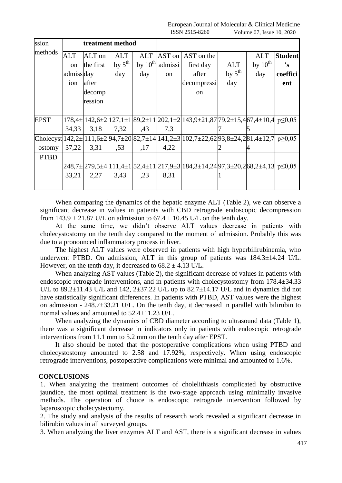European Journal of Molecular & Clinical Medicine ISSN 2515-8260 Volume 07, Issue 10, 2020

| ssion       |               | treatment method |                    |              |               |                                                                                                                                                |                    |              |                |
|-------------|---------------|------------------|--------------------|--------------|---------------|------------------------------------------------------------------------------------------------------------------------------------------------|--------------------|--------------|----------------|
| methods     | <b>ALT</b>    | ALT on           | <b>ALT</b>         | <b>ALT</b>   |               | AST on   AST on the                                                                                                                            |                    | ALT          | <b>Student</b> |
|             | <sub>on</sub> | the first        | by $5^{\text{th}}$ | by $10^{th}$ | admissi       | first day                                                                                                                                      | ALT                | by $10^{th}$ | 's             |
|             | admissday     |                  | day                | day          | <sub>on</sub> | after                                                                                                                                          | by $5^{\text{th}}$ | day          | coeffici       |
|             | ion           | after            |                    |              |               | decompressi                                                                                                                                    | day                |              | ent            |
|             |               | decomp           |                    |              |               | <sub>on</sub>                                                                                                                                  |                    |              |                |
|             |               | ression          |                    |              |               |                                                                                                                                                |                    |              |                |
|             |               |                  |                    |              |               |                                                                                                                                                |                    |              |                |
| <b>EPST</b> |               |                  |                    |              |               | $178,4\pm$ $142,6\pm$ $2$ $127,1\pm$ $1$ $89,2\pm$ $11$ $202,1\pm$ $2$ $143,9\pm$ $21,87$ $79,2\pm$ $15,4$ $67,4\pm$ $10,4$ $p\leq$ 0.05       |                    |              |                |
|             | 34,33         | 3.18             | 7,32               | .43          | 7,3           |                                                                                                                                                |                    |              |                |
|             |               |                  |                    |              |               | Cholecyst $142,2\pm$ $111,6\pm$ $2\frac{94,7\pm 20}{82,7\pm 14}$ $141,2\pm 3\frac{102,7\pm 22,62}{93,8\pm 24,2\frac{81,4\pm 12,7}{9\geq 0,05}$ |                    |              |                |
| ostomy      | 37,22         | 3,31             | .53                | ,17          | 4,22          |                                                                                                                                                |                    |              |                |
| <b>PTBD</b> |               |                  |                    |              |               |                                                                                                                                                |                    |              |                |
|             |               |                  |                    |              |               | $[248,7\pm]279,5\pm4[111,4\pm1]52,4\pm11[217,9\pm3]184,3\pm14,24[97,3\pm20,2[68,2\pm4,13]p\leq0,05]$                                           |                    |              |                |
|             | 33,21         | 2,27             | 3,43               | ,23          | 8,31          |                                                                                                                                                |                    |              |                |
|             |               |                  |                    |              |               |                                                                                                                                                |                    |              |                |

When comparing the dynamics of the hepatic enzyme ALT (Table 2), we can observe a significant decrease in values in patients with CBD retrograde endoscopic decompression from  $143.9 \pm 21.87$  U/L on admission to  $67.4 \pm 10.45$  U/L on the tenth day.

At the same time, we didn't observe ALT values decrease in patients with cholecystostomy on the tenth day compared to the moment of admission. Probably this was due to a pronounced inflammatory process in liver.

The highest ALT values were observed in patients with high hyperbilirubinemia, who underwent PTBD. On admission, ALT in this group of patients was 184.3±14.24 U/L. However, on the tenth day, it decreased to  $68.2 \pm 4.13$  U/L.

When analyzing AST values (Table 2), the significant decrease of values in patients with endoscopic retrograde interventions, and in patients with cholecystostomy from 178.4±34.33 U/L to 89.2 $\pm$ 11.43 U/L and 142, 2 $\pm$ 37.22 U/L up to 82.7 $\pm$ 14.17 U/L and in dynamics did not have statistically significant differences. In patients with PTBD, AST values were the highest on admission - 248.7±33.21 U/L. On the tenth day, it decreased in parallel with bilirubin to normal values and amounted to 52.4±11.23 U/L.

When analyzing the dynamics of CBD diameter according to ultrasound data (Table 1), there was a significant decrease in indicators only in patients with endoscopic retrograde interventions from 11.1 mm to 5.2 mm on the tenth day after EPST.

It also should be noted that the postoperative complications when using PTBD and cholecystostomy amounted to 2.58 and 17.92%, respectively. When using endoscopic retrograde interventions, postoperative complications were minimal and amounted to 1.6%.

#### **CONCLUSIONS**

1. When analyzing the treatment outcomes of cholelithiasis complicated by obstructive jaundice, the most optimal treatment is the two-stage approach using minimally invasive methods. The operation of choice is endoscopic retrograde intervention followed by laparoscopic cholecystectomy.

2. The study and analysis of the results of research work revealed a significant decrease in bilirubin values in all surveyed groups.

3. When analyzing the liver enzymes ALT and AST, there is a significant decrease in values